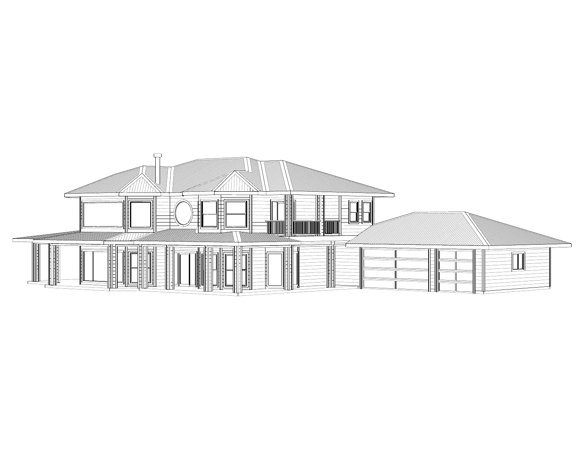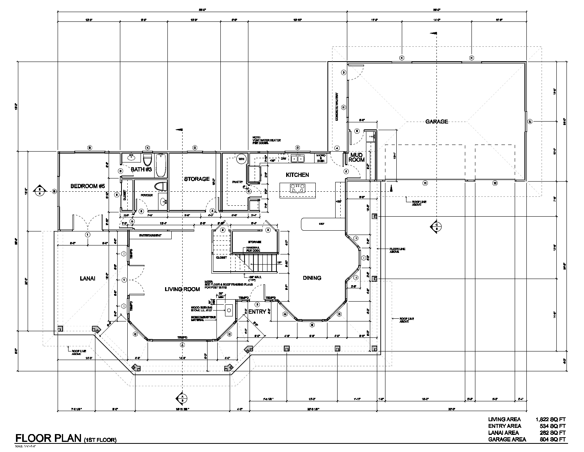